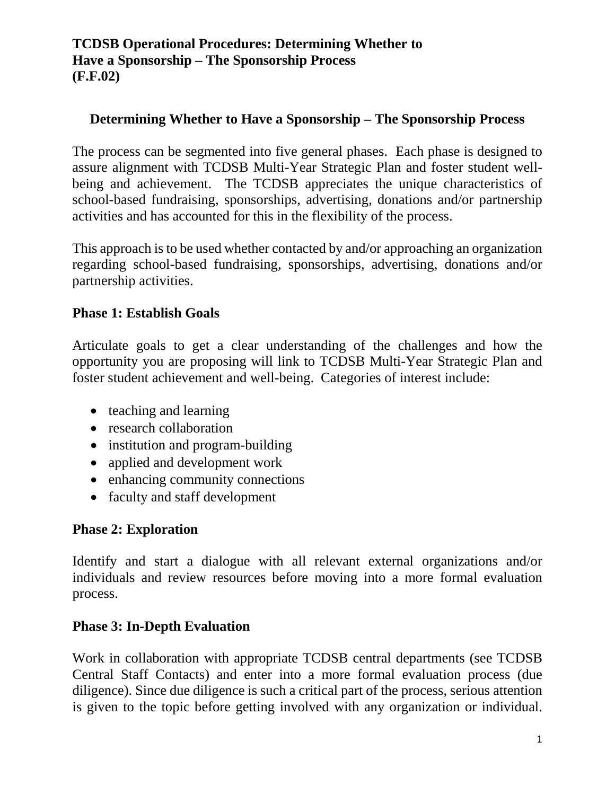### **Determining Whether to Have a Sponsorship – The Sponsorship Process**

The process can be segmented into five general phases. Each phase is designed to assure alignment with TCDSB Multi-Year Strategic Plan and foster student wellbeing and achievement. The TCDSB appreciates the unique characteristics of school-based fundraising, sponsorships, advertising, donations and/or partnership activities and has accounted for this in the flexibility of the process.

This approach is to be used whether contacted by and/or approaching an organization regarding school-based fundraising, sponsorships, advertising, donations and/or partnership activities.

#### **Phase 1: Establish Goals**

Articulate goals to get a clear understanding of the challenges and how the opportunity you are proposing will link to TCDSB Multi-Year Strategic Plan and foster student achievement and well-being. Categories of interest include:

- teaching and learning
- research collaboration
- institution and program-building
- applied and development work
- enhancing community connections
- faculty and staff development

#### **Phase 2: Exploration**

Identify and start a dialogue with all relevant external organizations and/or individuals and review resources before moving into a more formal evaluation process.

#### **Phase 3: In-Depth Evaluation**

Work in collaboration with appropriate TCDSB central departments (see TCDSB Central Staff Contacts) and enter into a more formal evaluation process (due diligence). Since due diligence is such a critical part of the process, serious attention is given to the topic before getting involved with any organization or individual.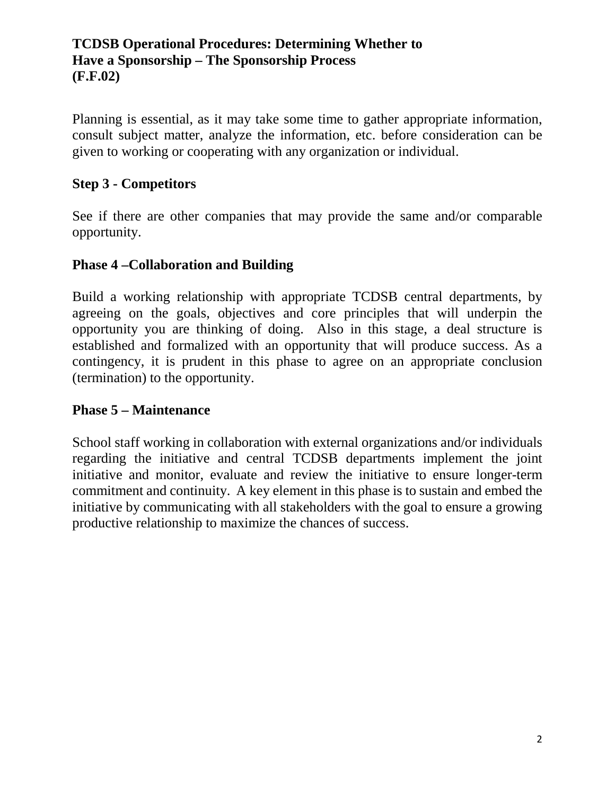Planning is essential, as it may take some time to gather appropriate information, consult subject matter, analyze the information, etc. before consideration can be given to working or cooperating with any organization or individual.

# **Step 3 - Competitors**

See if there are other companies that may provide the same and/or comparable opportunity.

### **Phase 4 –Collaboration and Building**

Build a working relationship with appropriate TCDSB central departments, by agreeing on the goals, objectives and core principles that will underpin the opportunity you are thinking of doing. Also in this stage, a deal structure is established and formalized with an opportunity that will produce success. As a contingency, it is prudent in this phase to agree on an appropriate conclusion (termination) to the opportunity.

# **Phase 5 – Maintenance**

School staff working in collaboration with external organizations and/or individuals regarding the initiative and central TCDSB departments implement the joint initiative and monitor, evaluate and review the initiative to ensure longer-term commitment and continuity. A key element in this phase is to sustain and embed the initiative by communicating with all stakeholders with the goal to ensure a growing productive relationship to maximize the chances of success.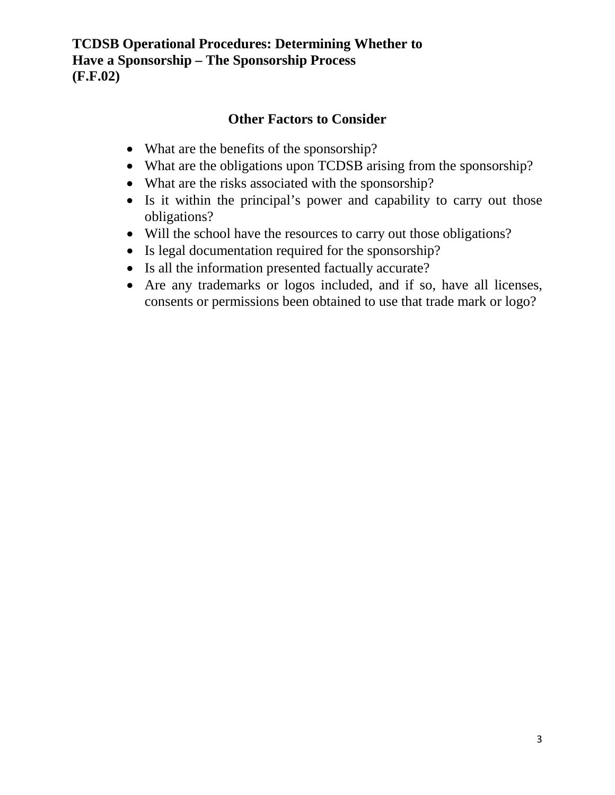### **Other Factors to Consider**

- What are the benefits of the sponsorship?
- What are the obligations upon TCDSB arising from the sponsorship?
- What are the risks associated with the sponsorship?
- Is it within the principal's power and capability to carry out those obligations?
- Will the school have the resources to carry out those obligations?
- Is legal documentation required for the sponsorship?
- Is all the information presented factually accurate?
- Are any trademarks or logos included, and if so, have all licenses, consents or permissions been obtained to use that trade mark or logo?